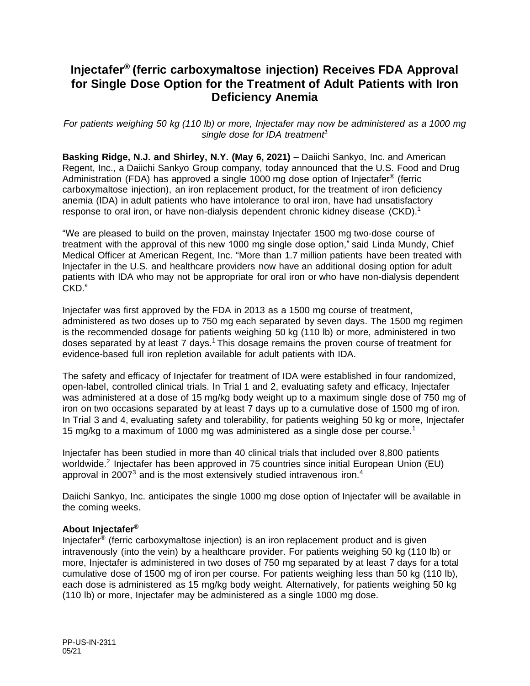# **Injectafer® (ferric carboxymaltose injection) Receives FDA Approval for Single Dose Option for the Treatment of Adult Patients with Iron Deficiency Anemia**

<span id="page-0-0"></span>*For patients weighing 50 kg (110 lb) or more, Injectafer may now be administered as a 1000 mg single dose for IDA treatment<sup>1</sup>*

**Basking Ridge, N.J. and Shirley, N.Y. (May 6, 2021)** – Daiichi Sankyo, Inc. and American Regent, Inc., a Daiichi Sankyo Group company, today announced that the U.S. Food and Drug Administration (FDA) has approved a single 1000 mg dose option of Injectafer® (ferric carboxymaltose injection), an iron replacement product, for the treatment of iron deficiency anemia (IDA) in adult patients who have intolerance to oral iron, have had unsatisfactory response to oral iron, or have non-dialysis dependent chronic kidney disease (CKD).<sup>[1](#page-0-0)</sup>

"We are pleased to build on the proven, mainstay Injectafer 1500 mg two-dose course of treatment with the approval of this new 1000 mg single dose option," said Linda Mundy, Chief Medical Officer at American Regent, Inc. "More than 1.7 million patients have been treated with Injectafer in the U.S. and healthcare providers now have an additional dosing option for adult patients with IDA who may not be appropriate for oral iron or who have non-dialysis dependent CKD."

Injectafer was first approved by the FDA in 2013 as a 1500 mg course of treatment, administered as two doses up to 750 mg each separated by seven days. The 1500 mg regimen is the recommended dosage for patients weighing 50 kg (110 lb) or more, administered in two doses separated by at least 7 days.<sup>[1](#page-0-0)</sup> This dosage remains the proven course of treatment for evidence-based full iron repletion available for adult patients with IDA.

The safety and efficacy of Injectafer for treatment of IDA were established in four randomized, open-label, controlled clinical trials. In Trial 1 and 2, evaluating safety and efficacy, Injectafer was administered at a dose of 15 mg/kg body weight up to a maximum single dose of 750 mg of iron on two occasions separated by at least 7 days up to a cumulative dose of 1500 mg of iron. In Trial 3 and 4, evaluating safety and tolerability, for patients weighing 50 kg or more, Injectafer [1](#page-0-0)5 mg/kg to a maximum of 1000 mg was administered as a single dose per course.<sup>1</sup>

Injectafer has been studied in more than 40 clinical trials that included over 8,800 patients worldwide.<sup>2</sup> Injectafer has been approved in 75 countries since initial European Union (EU) approval in 2007 $3$  and is the most extensively studied intravenous iron.<sup>4</sup>

Daiichi Sankyo, Inc. anticipates the single 1000 mg dose option of Injectafer will be available in the coming weeks.

## **About Injectafer®**

Injectafer<sup>®</sup> (ferric carboxymaltose injection) is an iron replacement product and is given intravenously (into the vein) by a healthcare provider. For patients weighing 50 kg (110 lb) or more, Injectafer is administered in two doses of 750 mg separated by at least 7 days for a total cumulative dose of 1500 mg of iron per course. For patients weighing less than 50 kg (110 lb), each dose is administered as 15 mg/kg body weight. Alternatively, for patients weighing 50 kg (110 lb) or more, Injectafer may be administered as a single 1000 mg dose.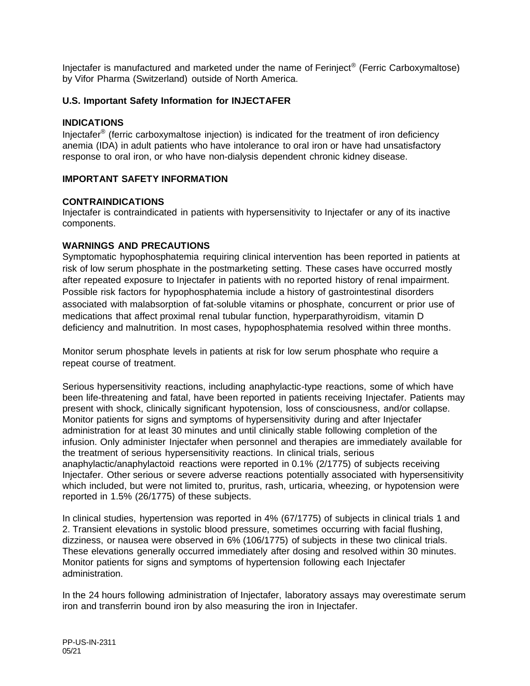Injectafer is manufactured and marketed under the name of Ferinject® (Ferric Carboxymaltose) by Vifor Pharma (Switzerland) outside of North America.

# **U.S. Important Safety Information for INJECTAFER**

## **INDICATIONS**

Injectafer<sup>®</sup> (ferric carboxymaltose injection) is indicated for the treatment of iron deficiency anemia (IDA) in adult patients who have intolerance to oral iron or have had unsatisfactory response to oral iron, or who have non-dialysis dependent chronic kidney disease.

## **IMPORTANT SAFETY INFORMATION**

#### **CONTRAINDICATIONS**

Injectafer is contraindicated in patients with hypersensitivity to Injectafer or any of its inactive components.

## **WARNINGS AND PRECAUTIONS**

Symptomatic hypophosphatemia requiring clinical intervention has been reported in patients at risk of low serum phosphate in the postmarketing setting. These cases have occurred mostly after repeated exposure to Injectafer in patients with no reported history of renal impairment. Possible risk factors for hypophosphatemia include a history of gastrointestinal disorders associated with malabsorption of fat-soluble vitamins or phosphate, concurrent or prior use of medications that affect proximal renal tubular function, hyperparathyroidism, vitamin D deficiency and malnutrition. In most cases, hypophosphatemia resolved within three months.

Monitor serum phosphate levels in patients at risk for low serum phosphate who require a repeat course of treatment.

Serious hypersensitivity reactions, including anaphylactic-type reactions, some of which have been life-threatening and fatal, have been reported in patients receiving Injectafer. Patients may present with shock, clinically significant hypotension, loss of consciousness, and/or collapse. Monitor patients for signs and symptoms of hypersensitivity during and after Injectafer administration for at least 30 minutes and until clinically stable following completion of the infusion. Only administer Injectafer when personnel and therapies are immediately available for the treatment of serious hypersensitivity reactions. In clinical trials, serious anaphylactic/anaphylactoid reactions were reported in 0.1% (2/1775) of subjects receiving Injectafer. Other serious or severe adverse reactions potentially associated with hypersensitivity which included, but were not limited to, pruritus, rash, urticaria, wheezing, or hypotension were reported in 1.5% (26/1775) of these subjects.

In clinical studies, hypertension was reported in 4% (67/1775) of subjects in clinical trials 1 and 2. Transient elevations in systolic blood pressure, sometimes occurring with facial flushing, dizziness, or nausea were observed in 6% (106/1775) of subjects in these two clinical trials. These elevations generally occurred immediately after dosing and resolved within 30 minutes. Monitor patients for signs and symptoms of hypertension following each Injectafer administration.

In the 24 hours following administration of Injectafer, laboratory assays may overestimate serum iron and transferrin bound iron by also measuring the iron in Injectafer.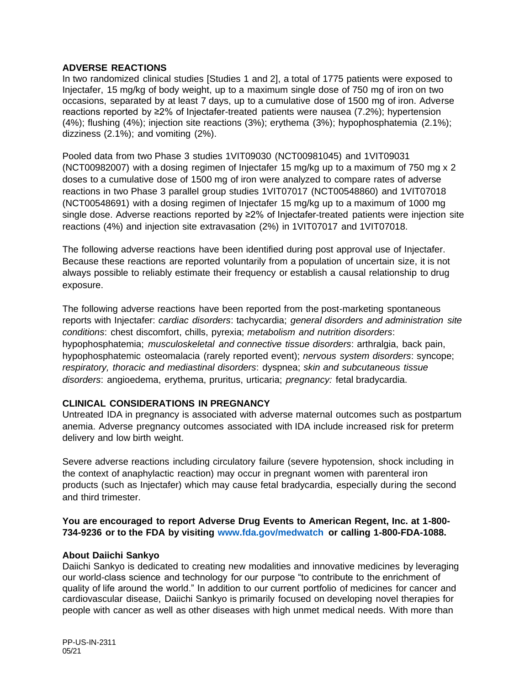# **ADVERSE REACTIONS**

In two randomized clinical studies [Studies 1 and 2], a total of 1775 patients were exposed to Injectafer, 15 mg/kg of body weight, up to a maximum single dose of 750 mg of iron on two occasions, separated by at least 7 days, up to a cumulative dose of 1500 mg of iron. Adverse reactions reported by ≥2% of Injectafer-treated patients were nausea (7.2%); hypertension (4%); flushing (4%); injection site reactions (3%); erythema (3%); hypophosphatemia (2.1%); dizziness (2.1%); and vomiting (2%).

Pooled data from two Phase 3 studies 1VIT09030 (NCT00981045) and 1VIT09031 (NCT00982007) with a dosing regimen of Injectafer 15 mg/kg up to a maximum of 750 mg x 2 doses to a cumulative dose of 1500 mg of iron were analyzed to compare rates of adverse reactions in two Phase 3 parallel group studies 1VIT07017 (NCT00548860) and 1VIT07018 (NCT00548691) with a dosing regimen of Injectafer 15 mg/kg up to a maximum of 1000 mg single dose. Adverse reactions reported by ≥2% of Injectafer-treated patients were injection site reactions (4%) and injection site extravasation (2%) in 1VIT07017 and 1VIT07018.

The following adverse reactions have been identified during post approval use of Injectafer. Because these reactions are reported voluntarily from a population of uncertain size, it is not always possible to reliably estimate their frequency or establish a causal relationship to drug exposure.

The following adverse reactions have been reported from the post-marketing spontaneous reports with Injectafer: *cardiac disorders*: tachycardia; *general disorders and administration site conditions*: chest discomfort, chills, pyrexia; *metabolism and nutrition disorders*: hypophosphatemia; *musculoskeletal and connective tissue disorders*: arthralgia, back pain, hypophosphatemic osteomalacia (rarely reported event); *nervous system disorders*: syncope; *respiratory, thoracic and mediastinal disorders*: dyspnea; *skin and subcutaneous tissue disorders*: angioedema, erythema, pruritus, urticaria; *pregnancy:* fetal bradycardia.

## **CLINICAL CONSIDERATIONS IN PREGNANCY**

Untreated IDA in pregnancy is associated with adverse maternal outcomes such as postpartum anemia. Adverse pregnancy outcomes associated with IDA include increased risk for preterm delivery and low birth weight.

Severe adverse reactions including circulatory failure (severe hypotension, shock including in the context of anaphylactic reaction) may occur in pregnant women with parenteral iron products (such as Injectafer) which may cause fetal bradycardia, especially during the second and third trimester.

# **You are encouraged to report Adverse Drug Events to American Regent, Inc. at 1-800- 734-9236 or to the FDA by visiting [www.fda.gov/medwatch](http://www.fda.gov/medwatch) or calling 1-800-FDA-1088.**

## **About Daiichi Sankyo**

Daiichi Sankyo is dedicated to creating new modalities and innovative medicines by leveraging our world-class science and technology for our purpose "to contribute to the enrichment of quality of life around the world." In addition to our current portfolio of medicines for cancer and cardiovascular disease, Daiichi Sankyo is primarily focused on developing novel therapies for people with cancer as well as other diseases with high unmet medical needs. With more than